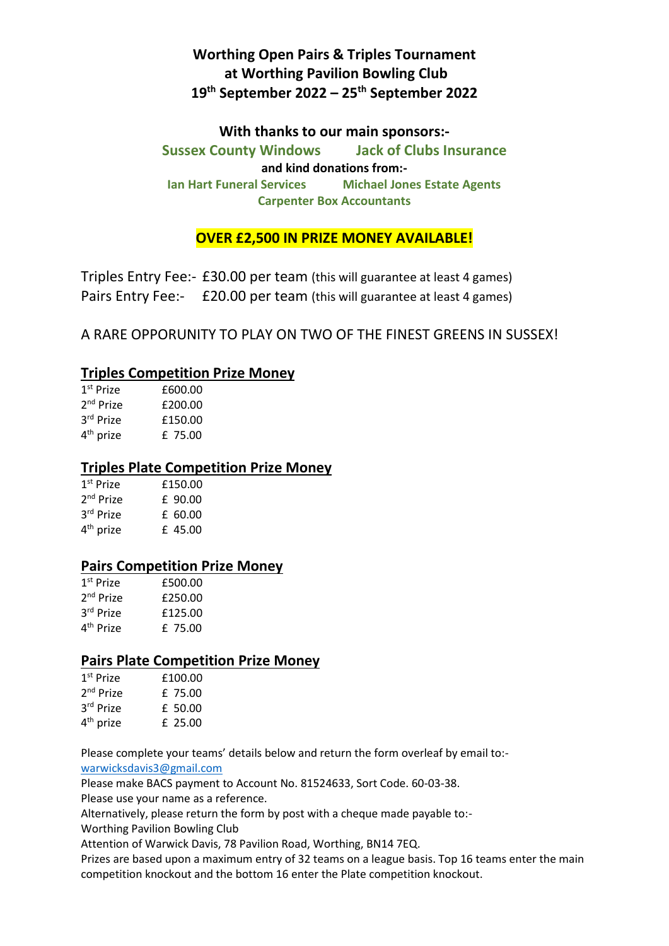# **Worthing Open Pairs & Triples Tournament at Worthing Pavilion Bowling Club 19th September 2022 – 25th September 2022**

## **With thanks to our main sponsors:- Sussex County Windows Jack of Clubs Insurance and kind donations from:- Ian Hart Funeral Services Michael Jones Estate Agents Carpenter Box Accountants**

**OVER £2,500 IN PRIZE MONEY AVAILABLE!**

Triples Entry Fee:- £30.00 per team (this will guarantee at least 4 games) Pairs Entry Fee:- £20.00 per team (this will guarantee at least 4 games)

A RARE OPPORUNITY TO PLAY ON TWO OF THE FINEST GREENS IN SUSSEX!

### **Triples Competition Prize Money**

| $1st$ Prize           | £600.00 |
|-----------------------|---------|
| $2nd$ Prize           | £200.00 |
| 3rd Prize             | £150.00 |
| 4 <sup>th</sup> prize | £ 75.00 |

### **Triples Plate Competition Prize Money**

| $1st$ Prize           | £150.00 |
|-----------------------|---------|
| 2 <sup>nd</sup> Prize | £ 90.00 |
| 3rd Prize             | £ 60.00 |
| 4 <sup>th</sup> prize | £ 45.00 |
|                       |         |

### **Pairs Competition Prize Money**

| $1st$ Prize           | £500.00 |
|-----------------------|---------|
| 2 <sup>nd</sup> Prize | £250.00 |
| 3rd Prize             | £125.00 |
| 4 <sup>th</sup> Prize | £ 75.00 |

### **Pairs Plate Competition Prize Money**

| 1 <sup>st</sup> Prize | £100.00 |
|-----------------------|---------|
| $2nd$ Prize           | £ 75.00 |
| 3rd Prize             | £ 50.00 |
| 4 <sup>th</sup> prize | £ 25.00 |

Please complete your teams' details below and return the form overleaf by email to: [warwicksdavis3@gmail.com](mailto:warwicksdavis3@gmail.com)

Please make BACS payment to Account No. 81524633, Sort Code. 60-03-38.

Please use your name as a reference.

Alternatively, please return the form by post with a cheque made payable to:-

Worthing Pavilion Bowling Club

Attention of Warwick Davis, 78 Pavilion Road, Worthing, BN14 7EQ.

Prizes are based upon a maximum entry of 32 teams on a league basis. Top 16 teams enter the main competition knockout and the bottom 16 enter the Plate competition knockout.